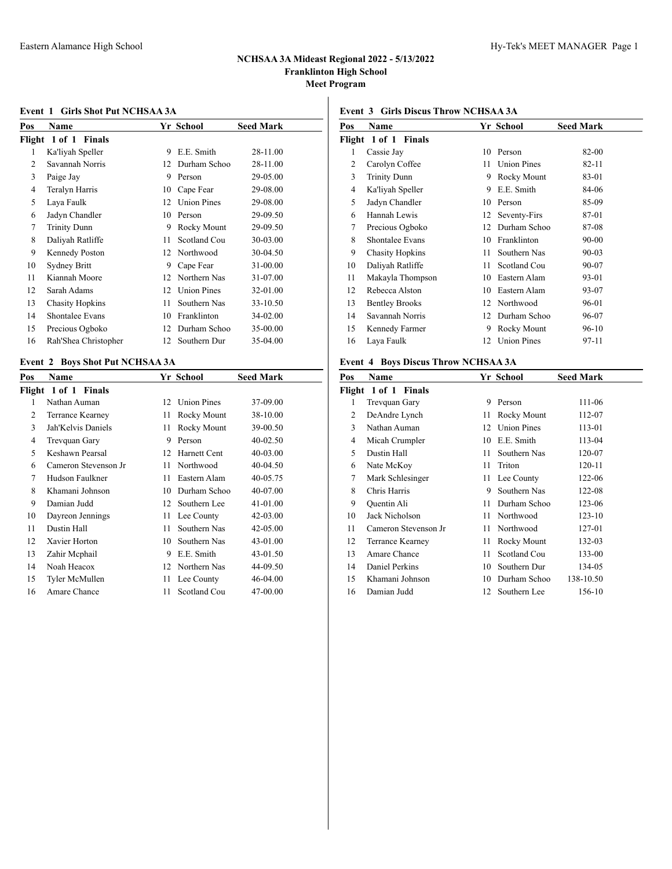#### **Event 1 Girls Shot Put NCHSAA 3A**

| Pos    | Name                   |    | Yr School          | <b>Seed Mark</b> |
|--------|------------------------|----|--------------------|------------------|
| Flight | 1 of 1 Finals          |    |                    |                  |
| 1      | Ka'liyah Speller       | 9  | E.E. Smith         | 28-11.00         |
| 2      | Savannah Norris        | 12 | Durham Schoo       | 28-11.00         |
| 3      | Paige Jay              | 9  | Person             | 29-05.00         |
| 4      | Teralyn Harris         | 10 | Cape Fear          | 29-08.00         |
| 5      | Laya Faulk             | 12 | <b>Union Pines</b> | 29-08.00         |
| 6      | Jadyn Chandler         | 10 | Person             | 29-09.50         |
| 7      | <b>Trinity Dunn</b>    | 9  | Rocky Mount        | 29-09.50         |
| 8      | Daliyah Ratliffe       | 11 | Scotland Cou       | 30-03.00         |
| 9      | Kennedy Poston         | 12 | Northwood          | 30-04.50         |
| 10     | <b>Sydney Britt</b>    | 9  | Cape Fear          | 31-00.00         |
| 11     | Kiannah Moore          | 12 | Northern Nas       | 31-07.00         |
| 12     | Sarah Adams            | 12 | <b>Union Pines</b> | 32-01.00         |
| 13     | <b>Chasity Hopkins</b> | 11 | Southern Nas       | 33-10.50         |
| 14     | Shontalee Evans        | 10 | Franklinton        | 34-02.00         |
| 15     | Precious Ogboko        | 12 | Durham Schoo       | 35-00.00         |
| 16     | Rah'Shea Christopher   | 12 | Southern Dur       | 35-04.00         |

## **Event 2 Boys Shot Put NCHSAA 3A**

| Pos | Name                 |    | Yr School          | <b>Seed Mark</b> |
|-----|----------------------|----|--------------------|------------------|
|     | Flight 1 of 1 Finals |    |                    |                  |
| 1   | Nathan Auman         | 12 | <b>Union Pines</b> | 37-09.00         |
| 2   | Terrance Kearney     | 11 | Rocky Mount        | 38-10.00         |
| 3   | Jah'Kelvis Daniels   | 11 | Rocky Mount        | 39-00.50         |
| 4   | Trevquan Gary        | 9  | Person             | 40-02.50         |
| 5   | Keshawn Pearsal      | 12 | Harnett Cent       | $40 - 03.00$     |
| 6   | Cameron Stevenson Jr | 11 | Northwood          | 40-04.50         |
| 7   | Hudson Faulkner      | 11 | Eastern Alam       | 40-05.75         |
| 8   | Khamani Johnson      | 10 | Durham Schoo       | 40-07.00         |
| 9   | Damian Judd          | 12 | Southern Lee       | 41-01.00         |
| 10  | Dayreon Jennings     | 11 | Lee County         | 42-03.00         |
| 11  | Dustin Hall          | 11 | Southern Nas       | 42-05.00         |
| 12  | Xavier Horton        | 10 | Southern Nas       | 43-01.00         |
| 13  | Zahir Mephail        | 9  | E.E. Smith         | 43-01.50         |
| 14  | Noah Heacox          | 12 | Northern Nas       | 44-09.50         |
| 15  | Tyler McMullen       | 11 | Lee County         | 46-04.00         |
| 16  | Amare Chance         | 11 | Scotland Cou       | 47-00.00         |
|     |                      |    |                    |                  |

## **Event 3 Girls Discus Throw NCHSAA 3A**

| Name                   |    |                    | <b>Seed Mark</b> |
|------------------------|----|--------------------|------------------|
| Flight 1 of 1 Finals   |    |                    |                  |
| Cassie Jay             | 10 | Person             | 82-00            |
| Carolyn Coffee         | 11 | <b>Union Pines</b> | $82 - 11$        |
| <b>Trinity Dunn</b>    | 9  | Rocky Mount        | 83-01            |
| Ka'liyah Speller       | 9  | E.E. Smith         | 84-06            |
| Jadyn Chandler         | 10 | Person             | 85-09            |
| Hannah Lewis           | 12 | Seventy-Firs       | 87-01            |
| Precious Ogboko        | 12 | Durham Schoo       | 87-08            |
| Shontalee Evans        | 10 | Franklinton        | $90 - 00$        |
| <b>Chasity Hopkins</b> | 11 | Southern Nas       | $90 - 03$        |
| Daliyah Ratliffe       | 11 | Scotland Cou       | 90-07            |
| Makayla Thompson       | 10 | Eastern Alam       | 93-01            |
| Rebecca Alston         | 10 | Eastern Alam       | 93-07            |
| <b>Bentley Brooks</b>  | 12 | Northwood          | 96-01            |
| Savannah Norris        | 12 | Durham Schoo       | 96-07            |
| Kennedy Farmer         | 9  | Rocky Mount        | 96-10            |
| Laya Faulk             | 12 | <b>Union Pines</b> | 97-11            |
|                        |    |                    | Yr School        |

## **Event 4 Boys Discus Throw NCHSAA 3A**

| Pos | Name                 |    | Yr School          | <b>Seed Mark</b> |
|-----|----------------------|----|--------------------|------------------|
|     | Flight 1 of 1 Finals |    |                    |                  |
| 1   | Trevquan Gary        | 9  | Person             | 111-06           |
| 2   | DeAndre Lynch        | 11 | Rocky Mount        | 112-07           |
| 3   | Nathan Auman         | 12 | <b>Union Pines</b> | 113-01           |
| 4   | Micah Crumpler       | 10 | E.E. Smith         | 113-04           |
| 5   | Dustin Hall          | 11 | Southern Nas       | 120-07           |
| 6   | Nate McKoy           | 11 | Triton             | 120-11           |
| 7   | Mark Schlesinger     | 11 | Lee County         | 122-06           |
| 8   | Chris Harris         | 9  | Southern Nas       | 122-08           |
| 9   | Quentin Ali          | 11 | Durham Schoo       | 123-06           |
| 10  | Jack Nicholson       | 11 | Northwood          | 123-10           |
| 11  | Cameron Stevenson Jr | 11 | Northwood          | 127-01           |
| 12  | Terrance Kearney     | 11 | Rocky Mount        | 132-03           |
| 13  | Amare Chance         | 11 | Scotland Cou       | 133-00           |
| 14  | Daniel Perkins       | 10 | Southern Dur       | 134-05           |
| 15  | Khamani Johnson      | 10 | Durham Schoo       | 138-10.50        |
| 16  | Damian Judd          | 12 | Southern Lee       | 156-10           |
|     |                      |    |                    |                  |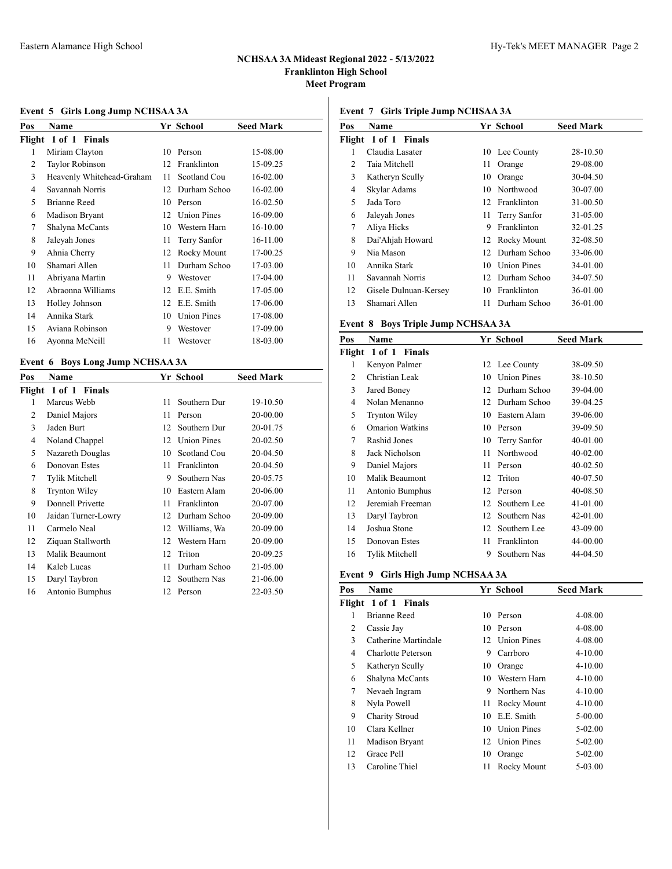## **Event 5 Girls Long Jump NCHSAA 3A**

| Pos | Name                      |    | Yr School          | Seed Mark |
|-----|---------------------------|----|--------------------|-----------|
|     | Flight 1 of 1 Finals      |    |                    |           |
| 1   | Miriam Clayton            | 10 | Person             | 15-08.00  |
| 2   | <b>Taylor Robinson</b>    | 12 | Franklinton        | 15-09.25  |
| 3   | Heavenly Whitehead-Graham | 11 | Scotland Cou       | 16-02.00  |
| 4   | Savannah Norris           | 12 | Durham Schoo       | 16-02.00  |
| 5   | <b>Brianne Reed</b>       | 10 | Person             | 16-02.50  |
| 6   | <b>Madison Bryant</b>     | 12 | <b>Union Pines</b> | 16-09.00  |
| 7   | Shalyna McCants           | 10 | Western Harn       | 16-10.00  |
| 8   | Jaleyah Jones             | 11 | Terry Sanfor       | 16-11.00  |
| 9   | Ahnia Cherry              | 12 | Rocky Mount        | 17-00.25  |
| 10  | Shamari Allen             | 11 | Durham Schoo       | 17-03.00  |
| 11  | Abriyana Martin           | 9  | Westover           | 17-04.00  |
| 12  | Abraonna Williams         | 12 | E.E. Smith         | 17-05.00  |
| 13  | Holley Johnson            | 12 | E.E. Smith         | 17-06.00  |
| 14  | Annika Stark              | 10 | <b>Union Pines</b> | 17-08.00  |
| 15  | Aviana Robinson           | 9  | Westover           | 17-09.00  |
| 16  | Ayonna McNeill            | 11 | Westover           | 18-03.00  |

## **Event 6 Boys Long Jump NCHSAA 3A**

| Pos | Name                 |    | Yr School          | <b>Seed Mark</b> |
|-----|----------------------|----|--------------------|------------------|
|     | Flight 1 of 1 Finals |    |                    |                  |
| 1   | Marcus Webb          | 11 | Southern Dur       | 19-10.50         |
| 2   | Daniel Majors        | 11 | Person             | 20-00.00         |
| 3   | Jaden Burt           | 12 | Southern Dur       | 20-01.75         |
| 4   | Noland Chappel       | 12 | <b>Union Pines</b> | 20-02.50         |
| 5   | Nazareth Douglas     | 10 | Scotland Cou       | 20-04.50         |
| 6   | Donovan Estes        | 11 | Franklinton        | 20-04.50         |
| 7   | Tylik Mitchell       | 9  | Southern Nas       | 20-05.75         |
| 8   | <b>Trynton Wiley</b> | 10 | Eastern Alam       | 20-06.00         |
| 9   | Donnell Privette     | 11 | Franklinton        | 20-07.00         |
| 10  | Jaidan Turner-Lowry  | 12 | Durham Schoo       | 20-09.00         |
| 11  | Carmelo Neal         | 12 | Williams, Wa       | 20-09.00         |
| 12  | Ziquan Stallworth    | 12 | Western Harn       | 20-09.00         |
| 13  | Malik Beaumont       | 12 | Triton             | 20-09.25         |
| 14  | Kaleb Lucas          | 11 | Durham Schoo       | 21-05.00         |
| 15  | Daryl Taybron        | 12 | Southern Nas       | 21-06.00         |
| 16  | Antonio Bumphus      | 12 | Person             | 22-03.50         |

## **Event 7 Girls Triple Jump NCHSAA 3A**

| Pos | <b>Name</b>           |     | Yr School          | <b>Seed Mark</b> |
|-----|-----------------------|-----|--------------------|------------------|
|     | Flight 1 of 1 Finals  |     |                    |                  |
| 1   | Claudia Lasater       |     | 10 Lee County      | 28-10.50         |
| 2   | Taia Mitchell         | 11  | Orange             | 29-08.00         |
| 3   | Katheryn Scully       | 10  | Orange             | 30-04.50         |
| 4   | Skylar Adams          | 10  | Northwood          | 30-07.00         |
| 5   | Jada Toro             | 12  | Franklinton        | 31-00.50         |
| 6   | Jaleyah Jones         | 11- | Terry Sanfor       | 31-05.00         |
| 7   | Aliya Hicks           | 9   | Franklinton        | 32-01.25         |
| 8   | Dai'Ahjah Howard      |     | 12 Rocky Mount     | 32-08.50         |
| 9   | Nia Mason             | 12  | Durham Schoo       | 33-06.00         |
| 10  | Annika Stark          | 10  | <b>Union Pines</b> | 34-01.00         |
| 11  | Savannah Norris       |     | 12 Durham Schoo    | 34-07.50         |
| 12  | Gisele Dulnuan-Kersey | 10  | Franklinton        | 36-01.00         |
| 13  | Shamari Allen         | 11  | Durham Schoo       | 36-01.00         |

#### **Event 8 Boys Triple Jump NCHSAA 3A**

| Pos | Name                   |    | Yr School          | <b>Seed Mark</b> |
|-----|------------------------|----|--------------------|------------------|
|     | Flight 1 of 1 Finals   |    |                    |                  |
| 1   | Kenyon Palmer          | 12 | Lee County         | 38-09.50         |
| 2   | Christian Leak         | 10 | <b>Union Pines</b> | 38-10.50         |
| 3   | Jared Boney            | 12 | Durham Schoo       | 39-04.00         |
| 4   | Nolan Menanno          | 12 | Durham Schoo       | 39-04.25         |
| 5   | <b>Trynton Wiley</b>   | 10 | Eastern Alam       | 39-06.00         |
| 6   | <b>Omarion Watkins</b> | 10 | Person             | 39-09.50         |
| 7   | Rashid Jones           | 10 | Terry Sanfor       | 40-01.00         |
| 8   | Jack Nicholson         | 11 | Northwood          | $40 - 02.00$     |
| 9   | Daniel Majors          | 11 | Person             | $40 - 02.50$     |
| 10  | Malik Beaumont         | 12 | Triton             | 40-07.50         |
| 11  | Antonio Bumphus        | 12 | Person             | 40-08.50         |
| 12  | Jeremiah Freeman       | 12 | Southern Lee       | 41-01.00         |
| 13  | Daryl Taybron          | 12 | Southern Nas       | 42-01.00         |
| 14  | Joshua Stone           | 12 | Southern Lee       | 43-09.00         |
| 15  | Donovan Estes          | 11 | Franklinton        | 44-00.00         |
| 16  | Tylik Mitchell         | 9  | Southern Nas       | 44-04.50         |

#### **Event 9 Girls High Jump NCHSAA 3A**

| Pos | Name                 |    | Yr School          | <b>Seed Mark</b> |
|-----|----------------------|----|--------------------|------------------|
|     | Flight 1 of 1 Finals |    |                    |                  |
| 1   | Brianne Reed         | 10 | Person             | 4-08.00          |
| 2   | Cassie Jay           | 10 | Person             | 4-08.00          |
| 3   | Catherine Martindale |    | 12 Union Pines     | 4-08.00          |
| 4   | Charlotte Peterson   | 9  | Carrboro           | $4 - 10.00$      |
| 5   | Katheryn Scully      | 10 | Orange             | $4 - 10.00$      |
| 6   | Shalyna McCants      | 10 | Western Harn       | $4 - 10.00$      |
| 7   | Nevaeh Ingram        | 9  | Northern Nas       | $4 - 10.00$      |
| 8   | Nyla Powell          | 11 | Rocky Mount        | $4 - 10.00$      |
| 9   | Charity Stroud       | 10 | E.E. Smith         | 5-00.00          |
| 10  | Clara Kellner        | 10 | <b>Union Pines</b> | 5-02.00          |
| 11  | Madison Bryant       |    | 12 Union Pines     | 5-02.00          |
| 12  | Grace Pell           | 10 | Orange             | 5-02.00          |
| 13  | Caroline Thiel       | 11 | Rocky Mount        | 5-03.00          |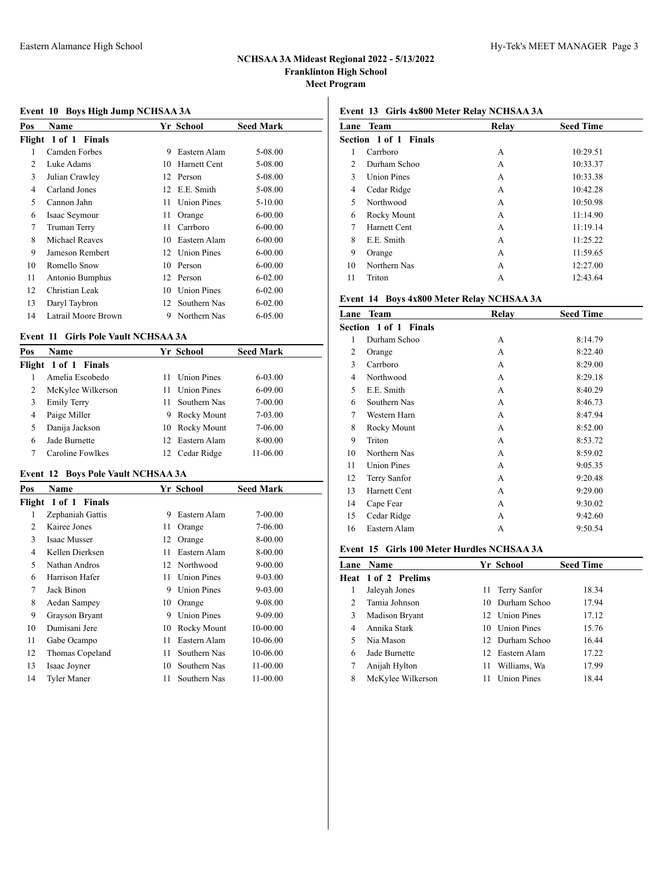## **Event 10 Boys High Jump NCHSAA 3A**

| Name                  |    |                    | <b>Seed Mark</b> |
|-----------------------|----|--------------------|------------------|
| Flight 1 of 1 Finals  |    |                    |                  |
| Camden Forbes         | 9  | Eastern Alam       | 5-08.00          |
| Luke Adams            | 10 | Harnett Cent       | 5-08.00          |
| Julian Crawley        | 12 | Person             | 5-08.00          |
| Carland Jones         | 12 | E.E. Smith         | 5-08.00          |
| Cannon Jahn           | 11 | <b>Union Pines</b> | $5 - 10.00$      |
| Isaac Seymour         | 11 | Orange             | $6 - 00.00$      |
| Truman Terry          | 11 | Carrboro           | $6 - 00.00$      |
| <b>Michael Reaves</b> | 10 | Eastern Alam       | $6 - 00.00$      |
| Jameson Rembert       | 12 | <b>Union Pines</b> | $6 - 00.00$      |
| Romello Snow          | 10 | Person             | $6 - 00.00$      |
| Antonio Bumphus       | 12 | Person             | $6 - 02.00$      |
| Christian Leak        | 10 | <b>Union Pines</b> | $6 - 02.00$      |
| Daryl Taybron         | 12 | Southern Nas       | $6 - 02.00$      |
| Latrail Moore Brown   | 9  | Northern Nas       | 6-05.00          |
|                       |    |                    | Yr School        |

## **Event 11 Girls Pole Vault NCHSAA 3A**

| Pos | Name                 |    | Yr School          | <b>Seed Mark</b> |  |
|-----|----------------------|----|--------------------|------------------|--|
|     | Flight 1 of 1 Finals |    |                    |                  |  |
|     | Amelia Escobedo      | 11 | <b>Union Pines</b> | $6 - 03.00$      |  |
| 2   | McKylee Wilkerson    | 11 | <b>Union Pines</b> | $6 - 09.00$      |  |
| 3   | <b>Emily Terry</b>   | 11 | Southern Nas       | $7 - 00.00$      |  |
| 4   | Paige Miller         |    | 9 Rocky Mount      | $7 - 03.00$      |  |
| 5   | Danija Jackson       | 10 | Rocky Mount        | 7-06.00          |  |
| 6   | Jade Burnette        |    | 12 Eastern Alam    | 8-00.00          |  |
|     | Caroline Fowlkes     |    | Cedar Ridge        | 11-06.00         |  |

## **Event 12 Boys Pole Vault NCHSAA 3A**

| Pos | Name                 |    | <b>Yr School</b>   | <b>Seed Mark</b> |
|-----|----------------------|----|--------------------|------------------|
|     | Flight 1 of 1 Finals |    |                    |                  |
| 1   | Zephaniah Gattis     | 9  | Eastern Alam       | 7-00.00          |
| 2   | Kairee Jones         | 11 | Orange             | 7-06.00          |
| 3   | <b>Isaac Musser</b>  | 12 | Orange             | 8-00.00          |
| 4   | Kellen Dierksen      | 11 | Eastern Alam       | 8-00.00          |
| 5   | Nathan Andros        | 12 | Northwood          | $9 - 00.00$      |
| 6   | Harrison Hafer       | 11 | <b>Union Pines</b> | 9-03.00          |
| 7   | Jack Binon           | 9  | <b>Union Pines</b> | 9-03.00          |
| 8   | Aedan Sampey         | 10 | Orange             | 9-08.00          |
| 9   | Grayson Bryant       | 9  | <b>Union Pines</b> | 9-09.00          |
| 10  | Dumisani Jere        | 10 | Rocky Mount        | 10-00.00         |
| 11  | Gabe Ocampo          | 11 | Eastern Alam       | 10-06.00         |
| 12  | Thomas Copeland      | 11 | Southern Nas       | 10-06.00         |
| 13  | Isaac Joyner         | 10 | Southern Nas       | 11-00.00         |
| 14  | Tyler Maner          | 11 | Southern Nas       | 11-00.00         |
|     |                      |    |                    |                  |

# **Event 13 Girls 4x800 Meter Relay NCHSAA 3A**

| Lane                         | Team               | Relay | <b>Seed Time</b> |  |
|------------------------------|--------------------|-------|------------------|--|
| <b>Section 1 of 1 Finals</b> |                    |       |                  |  |
| 1                            | Carrboro           | A     | 10:29.51         |  |
| $\mathfrak{D}$               | Durham Schoo       | А     | 10:33.37         |  |
| 3                            | <b>Union Pines</b> | А     | 10:33.38         |  |
| 4                            | Cedar Ridge        | А     | 10:42.28         |  |
| 5                            | Northwood          | А     | 10:50.98         |  |
| 6                            | Rocky Mount        | А     | 11:14.90         |  |
| 7                            | Harnett Cent       | А     | 11:19.14         |  |
| 8                            | E.E. Smith         | А     | 11:25.22         |  |
| 9                            | Orange             | А     | 11:59.65         |  |
| 10                           | Northern Nas       | А     | 12:27.00         |  |
| 11                           | Triton             | А     | 12:43.64         |  |

# **Event 14 Boys 4x800 Meter Relay NCHSAA 3A**

| Lane | <b>Team</b>                  | Relay | <b>Seed Time</b> |  |
|------|------------------------------|-------|------------------|--|
|      | <b>Section 1 of 1 Finals</b> |       |                  |  |
| 1    | Durham Schoo                 | А     | 8:14.79          |  |
| 2    | Orange                       | А     | 8:22.40          |  |
| 3    | Carrboro                     | A     | 8:29.00          |  |
| 4    | Northwood                    | А     | 8:29.18          |  |
| 5    | E.E. Smith                   | А     | 8:40.29          |  |
| 6    | Southern Nas                 | А     | 8:46.73          |  |
| 7    | Western Harn                 | A     | 8:47.94          |  |
| 8    | Rocky Mount                  | А     | 8:52.00          |  |
| 9    | Triton                       | А     | 8:53.72          |  |
| 10   | Northern Nas                 | А     | 8:59.02          |  |
| 11   | <b>Union Pines</b>           | A     | 9:05.35          |  |
| 12   | Terry Sanfor                 | А     | 9:20.48          |  |
| 13   | <b>Harnett Cent</b>          | A     | 9:29.00          |  |
| 14   | Cape Fear                    | А     | 9:30.02          |  |
| 15   | Cedar Ridge                  | А     | 9:42.60          |  |
| 16   | Eastern Alam                 | А     | 9:50.54          |  |
|      |                              |       |                  |  |

## **Event 15 Girls 100 Meter Hurdles NCHSAA 3A**

|               | <b>Lane Name</b>           |    | Yr School          | <b>Seed Time</b> |
|---------------|----------------------------|----|--------------------|------------------|
|               | <b>Heat 1 of 2 Prelims</b> |    |                    |                  |
| 1             | Jaleyah Jones              | 11 | Terry Sanfor       | 18.34            |
| $\mathcal{P}$ | Tamia Johnson              |    | 10 Durham Schoo    | 17.94            |
| 3             | Madison Bryant             |    | 12 Union Pines     | 17.12            |
| 4             | Annika Stark               |    | 10 Union Pines     | 15.76            |
|               | Nia Mason                  |    | 12. Durham Schoo   | 16.44            |
| 6             | Jade Burnette              |    | 12 Eastern Alam    | 17.22            |
| 7             | Anijah Hylton              | 11 | Williams, Wa       | 17.99            |
| 8             | McKylee Wilkerson          | 11 | <b>Union Pines</b> | 18.44            |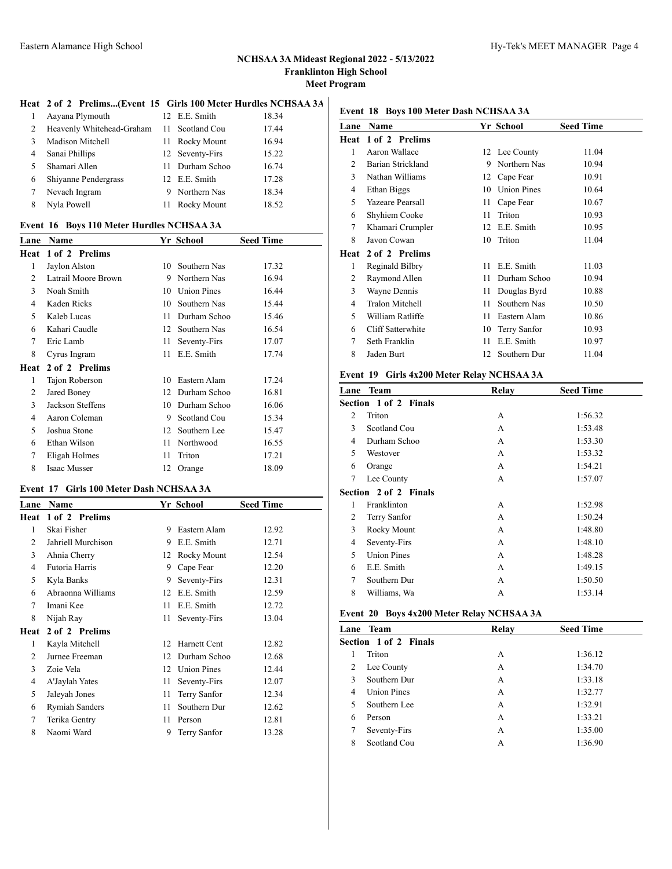L.

#### **Heat 2 of 2 Prelims...(Event 15 Girls 100 Meter Hurdles NCHSAA 3A)**

| 1  | Aayana Plymouth           | 12 E.E. Smith   | 18.34 |  |
|----|---------------------------|-----------------|-------|--|
| 2  | Heavenly Whitehead-Graham | 11 Scotland Cou | 17.44 |  |
| 3  | Madison Mitchell          | 11 Rocky Mount  | 16.94 |  |
| 4  | Sanai Phillips            | 12 Seventy-Firs | 15.22 |  |
| 5. | Shamari Allen             | 11 Durham Schoo | 16.74 |  |
| 6  | Shiyanne Pendergrass      | 12 E.E. Smith   | 17.28 |  |
| 7  | Nevaeh Ingram             | 9 Northern Nas  | 18.34 |  |
| 8  | Nyla Powell               | 11 Rocky Mount  | 18.52 |  |
|    |                           |                 |       |  |

#### **Event 16 Boys 110 Meter Hurdles NCHSAA 3A**

| Name                |    |                    | <b>Seed Time</b> |
|---------------------|----|--------------------|------------------|
| 1 of 2 Prelims      |    |                    |                  |
| Jaylon Alston       |    | Southern Nas       | 17.32            |
| Latrail Moore Brown | 9  | Northern Nas       | 16.94            |
| Noah Smith          | 10 | <b>Union Pines</b> | 16.44            |
| Kaden Ricks         | 10 | Southern Nas       | 15.44            |
| Kaleb Lucas         | 11 | Durham Schoo       | 15.46            |
| Kahari Caudle       | 12 | Southern Nas       | 16.54            |
| Eric Lamb           | 11 | Seventy-Firs       | 17.07            |
| Cyrus Ingram        | 11 | E.E. Smith         | 17.74            |
| 2 of 2 Prelims      |    |                    |                  |
| Tajon Roberson      | 10 | Eastern Alam       | 17.24            |
| Jared Boney         | 12 | Durham Schoo       | 16.81            |
| Jackson Steffens    | 10 | Durham Schoo       | 16.06            |
| Aaron Coleman       | 9  | Scotland Cou       | 15.34            |
| Joshua Stone        | 12 | Southern Lee       | 15.47            |
| Ethan Wilson        | 11 | Northwood          | 16.55            |
| Eligah Holmes       | 11 | Triton             | 17.21            |
| Isaac Musser        | 12 | Orange             | 18.09            |
|                     |    |                    | Yr School<br>10  |

## **Event 17 Girls 100 Meter Dash NCHSAA 3A**

| Lane           | Name                  |    | Yr School          | <b>Seed Time</b> |
|----------------|-----------------------|----|--------------------|------------------|
| Heat           | 1 of 2 Prelims        |    |                    |                  |
| 1              | Skai Fisher           | 9  | Eastern Alam       | 12.92            |
| $\overline{2}$ | Jahriell Murchison    | 9  | E.E. Smith         | 12.71            |
| 3              | Ahnia Cherry          | 12 | Rocky Mount        | 12.54            |
| $\overline{4}$ | Futoria Harris        | 9  | Cape Fear          | 12.20            |
| 5              | Kyla Banks            | 9  | Seventy-Firs       | 12.31            |
| 6              | Abraonna Williams     | 12 | E.E. Smith         | 12.59            |
| 7              | Imani Kee             | 11 | E.E. Smith         | 12.72            |
| 8              | Nijah Ray             | 11 | Seventy-Firs       | 13.04            |
| Heat           | 2 of 2 Prelims        |    |                    |                  |
| 1              | Kayla Mitchell        | 12 | Harnett Cent       | 12.82            |
| 2              | Jurnee Freeman        | 12 | Durham Schoo       | 12.68            |
| 3              | Zoie Vela             | 12 | <b>Union Pines</b> | 12.44            |
| 4              | A'Jaylah Yates        | 11 | Seventy-Firs       | 12.07            |
| 5              | Jaleyah Jones         | 11 | Terry Sanfor       | 12.34            |
| 6              | <b>Rymiah Sanders</b> | 11 | Southern Dur       | 12.62            |
| 7              | Terika Gentry         | 11 | Person             | 12.81            |
| 8              | Naomi Ward            | 9  | Terry Sanfor       | 13.28            |
|                |                       |    |                    |                  |

#### **Event 18 Boys 100 Meter Dash NCHSAA 3A**

| Lane | Name                    |    | Yr School          | <b>Seed Time</b> |
|------|-------------------------|----|--------------------|------------------|
| Heat | 1 of 2 Prelims          |    |                    |                  |
| 1    | Aaron Wallace           |    | 12 Lee County      | 11.04            |
| 2    | Barian Strickland       | 9  | Northern Nas       | 10.94            |
| 3    | Nathan Williams         | 12 | Cape Fear          | 10.91            |
| 4    | Ethan Biggs             | 10 | <b>Union Pines</b> | 10.64            |
| 5    | <b>Yazeare Pearsall</b> | 11 | Cape Fear          | 10.67            |
| 6    | Shyhiem Cooke           | 11 | Triton             | 10.93            |
| 7    | Khamari Crumpler        | 12 | E.E. Smith         | 10.95            |
| 8    | Javon Cowan             | 10 | Triton             | 11.04            |
| Heat | 2 of 2 Prelims          |    |                    |                  |
| 1    | Reginald Bilbry         | 11 | E.E. Smith         | 11.03            |
| 2    | Raymond Allen           | 11 | Durham Schoo       | 10.94            |
| 3    | Wayne Dennis            | 11 | Douglas Byrd       | 10.88            |
| 4    | <b>Tralon Mitchell</b>  | 11 | Southern Nas       | 10.50            |
| 5    | William Ratliffe        | 11 | Eastern Alam       | 10.86            |
| 6    | Cliff Satterwhite       | 10 | Terry Sanfor       | 10.93            |
| 7    | Seth Franklin           | 11 | E.E. Smith         | 10.97            |
| 8    | Jaden Burt              | 12 | Southern Dur       | 11.04            |
|      |                         |    |                    |                  |

#### **Event 19 Girls 4x200 Meter Relay NCHSAA 3A**

|   | Lane Team                    | Relay | <b>Seed Time</b> |
|---|------------------------------|-------|------------------|
|   | <b>Section 1 of 2 Finals</b> |       |                  |
| 2 | Triton                       | А     | 1:56.32          |
| 3 | Scotland Cou                 | А     | 1:53.48          |
| 4 | Durham Schoo                 | A     | 1:53.30          |
| 5 | Westover                     | А     | 1:53.32          |
| 6 | Orange                       | А     | 1:54.21          |
| 7 | Lee County                   | А     | 1:57.07          |
|   | <b>Section 2 of 2 Finals</b> |       |                  |
| 1 | Franklinton                  | А     | 1:52.98          |
| 2 | Terry Sanfor                 | А     | 1:50.24          |
| 3 | Rocky Mount                  | А     | 1:48.80          |
| 4 | Seventy-Firs                 | А     | 1:48.10          |
| 5 | <b>Union Pines</b>           | А     | 1:48.28          |
| 6 | E.E. Smith                   | А     | 1:49.15          |
| 7 | Southern Dur                 | A     | 1:50.50          |
| 8 | Williams, Wa                 | А     | 1:53.14          |

#### **Event 20 Boys 4x200 Meter Relay NCHSAA 3A**

| Lane                  | Team               | Relay | <b>Seed Time</b> |  |  |
|-----------------------|--------------------|-------|------------------|--|--|
| Section 1 of 2 Finals |                    |       |                  |  |  |
| 1                     | Triton             | А     | 1:36.12          |  |  |
| 2                     | Lee County         | А     | 1:34.70          |  |  |
| 3                     | Southern Dur       | А     | 1:33.18          |  |  |
| 4                     | <b>Union Pines</b> | А     | 1:32.77          |  |  |
| 5                     | Southern Lee       | А     | 1:32.91          |  |  |
| 6                     | Person             | A     | 1:33.21          |  |  |
| 7                     | Seventy-Firs       | А     | 1:35.00          |  |  |
| 8                     | Scotland Cou       | A     | 1:36.90          |  |  |
|                       |                    |       |                  |  |  |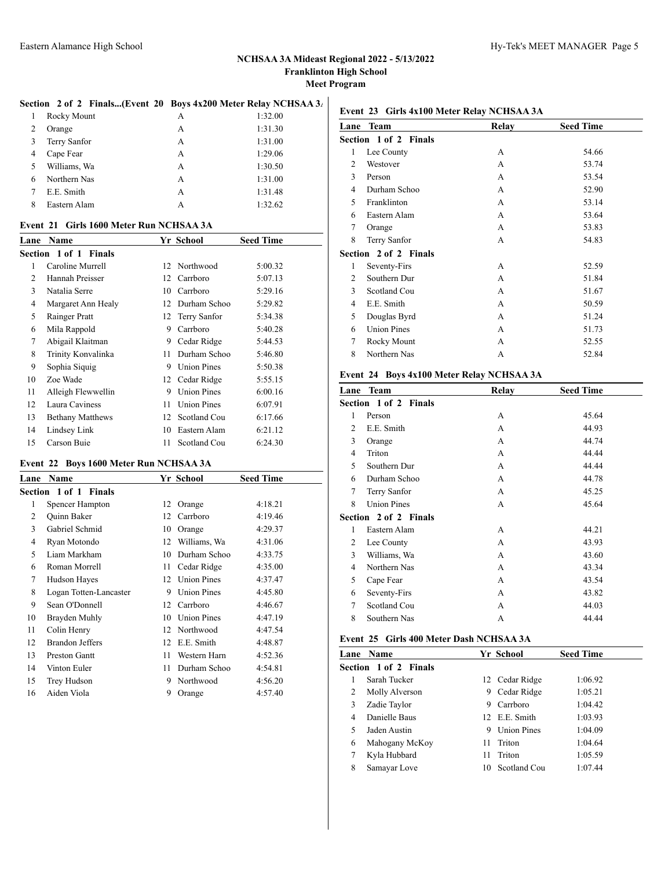#### Section 2 of 2 Finals...(Event 20 Boys 4x200 Meter Relay NCHSAA 3<sub>4</sub>

|   | Rocky Mount  | А | 1:32.00 |
|---|--------------|---|---------|
| 2 | Orange       | А | 1:31.30 |
| 3 | Terry Sanfor | А | 1:31.00 |
| 4 | Cape Fear    | А | 1:29.06 |
| 5 | Williams, Wa | А | 1:30.50 |
| 6 | Northern Nas | A | 1:31.00 |
|   | E.E. Smith   | А | 1:31.48 |
| 8 | Eastern Alam | А | 1:32.62 |

#### **Event 21 Girls 1600 Meter Run NCHSAA 3A**

|    | <b>Lane Name</b>        |    | Yr School          | <b>Seed Time</b> |
|----|-------------------------|----|--------------------|------------------|
|    | Section 1 of 1 Finals   |    |                    |                  |
| 1  | Caroline Murrell        |    | 12 Northwood       | 5:00.32          |
| 2  | Hannah Preisser         |    | 12 Carrboro        | 5:07.13          |
| 3  | Natalia Serre           | 10 | Carrboro           | 5:29.16          |
| 4  | Margaret Ann Healy      | 12 | Durham Schoo       | 5:29.82          |
| 5  | Rainger Pratt           |    | 12 Terry Sanfor    | 5:34.38          |
| 6  | Mila Rappold            | 9  | Carrboro           | 5:40.28          |
| 7  | Abigail Klaitman        | 9  | Cedar Ridge        | 5:44.53          |
| 8  | Trinity Konvalinka      | 11 | Durham Schoo       | 5:46.80          |
| 9  | Sophia Siquig           | 9  | <b>Union Pines</b> | 5:50.38          |
| 10 | Zoe Wade                |    | 12 Cedar Ridge     | 5:55.15          |
| 11 | Alleigh Flewwellin      | 9  | <b>Union Pines</b> | 6:00.16          |
| 12 | Laura Caviness          | 11 | <b>Union Pines</b> | 6:07.91          |
| 13 | <b>Bethany Matthews</b> | 12 | Scotland Cou       | 6:17.66          |
| 14 | Lindsey Link            | 10 | Eastern Alam       | 6:21.12          |
| 15 | Carson Buie             | 11 | Scotland Cou       | 6:24.30          |

#### **Event 22 Boys 1600 Meter Run NCHSAA 3A**

|                | <b>Lane Name</b>       |    | Yr School          | <b>Seed Time</b> |
|----------------|------------------------|----|--------------------|------------------|
|                | Section 1 of 1 Finals  |    |                    |                  |
| 1              | <b>Spencer Hampton</b> | 12 | Orange             | 4:18.21          |
| $\overline{c}$ | <b>Ouinn Baker</b>     | 12 | Carrboro           | 4:19.46          |
| 3              | Gabriel Schmid         | 10 | Orange             | 4:29.37          |
| 4              | Ryan Motondo           | 12 | Williams, Wa       | 4:31.06          |
| 5              | Liam Markham           | 10 | Durham Schoo       | 4:33.75          |
| 6              | Roman Morrell          | 11 | Cedar Ridge        | 4:35.00          |
| 7              | Hudson Hayes           | 12 | <b>Union Pines</b> | 4:37.47          |
| 8              | Logan Totten-Lancaster | 9  | <b>Union Pines</b> | 4:45.80          |
| 9              | Sean O'Donnell         | 12 | Carrboro           | 4:46.67          |
| 10             | Brayden Muhly          | 10 | <b>Union Pines</b> | 4:47.19          |
| 11             | Colin Henry            | 12 | Northwood          | 4:47.54          |
| 12             | <b>Brandon Jeffers</b> | 12 | E.E. Smith         | 4:48.87          |
| 13             | <b>Preston Gantt</b>   | 11 | Western Harn       | 4:52.36          |
| 14             | Vinton Euler           | 11 | Durham Schoo       | 4:54.81          |
| 15             | Trey Hudson            | 9  | Northwood          | 4:56.20          |
| 16             | Aiden Viola            | 9  | Orange             | 4:57.40          |
|                |                        |    |                    |                  |

#### **Event 23 Girls 4x100 Meter Relay NCHSAA 3A**

|   | Lane Team                    | Relay | <b>Seed Time</b> |  |
|---|------------------------------|-------|------------------|--|
|   | <b>Section 1 of 2 Finals</b> |       |                  |  |
| 1 | Lee County                   | A     | 54.66            |  |
| 2 | Westover                     | A     | 53.74            |  |
| 3 | Person                       | A     | 53.54            |  |
| 4 | Durham Schoo                 | A     | 52.90            |  |
| 5 | Franklinton                  | А     | 53.14            |  |
| 6 | Eastern Alam                 | A     | 53.64            |  |
| 7 | Orange                       | А     | 53.83            |  |
| 8 | Terry Sanfor                 | А     | 54.83            |  |
|   | <b>Section 2 of 2 Finals</b> |       |                  |  |
| 1 | Seventy-Firs                 | A     | 52.59            |  |
| 2 | Southern Dur                 | A     | 51.84            |  |
| 3 | Scotland Cou                 | A     | 51.67            |  |
| 4 | E.E. Smith                   | А     | 50.59            |  |
| 5 | Douglas Byrd                 | A     | 51.24            |  |
| 6 | <b>Union Pines</b>           | А     | 51.73            |  |
| 7 | Rocky Mount                  | А     | 52.55            |  |
| 8 | Northern Nas                 | А     | 52.84            |  |
|   |                              |       |                  |  |

#### **Event 24 Boys 4x100 Meter Relay NCHSAA 3A**

| Lane | Team                         | Relay        | <b>Seed Time</b> |
|------|------------------------------|--------------|------------------|
|      | <b>Section 1 of 2 Finals</b> |              |                  |
| 1    | Person                       | A            | 45.64            |
| 2    | E.E. Smith                   | A            | 44.93            |
| 3    | Orange                       | A            | 44.74            |
| 4    | Triton                       | A            | 44.44            |
| 5    | Southern Dur                 | A            | 44.44            |
| 6    | Durham Schoo                 | $\mathsf{A}$ | 44.78            |
| 7    | Terry Sanfor                 | A            | 45.25            |
| 8    | <b>Union Pines</b>           | А            | 45.64            |
|      | <b>Section 2 of 2 Finals</b> |              |                  |
| 1    | Eastern Alam                 | A            | 44.21            |
| 2    | Lee County                   | A            | 43.93            |
| 3    | Williams, Wa                 | A            | 43.60            |
| 4    | Northern Nas                 | A            | 43.34            |
| 5    | Cape Fear                    | A            | 43.54            |
| 6    | Seventy-Firs                 | A            | 43.82            |
| 7    | Scotland Cou                 | A            | 44.03            |
| 8    | Southern Nas                 | A            | 44.44            |
|      |                              |              |                  |

## **Event 25 Girls 400 Meter Dash NCHSAA 3A**

|   | Lane Name             |    | Yr School          | <b>Seed Time</b> |
|---|-----------------------|----|--------------------|------------------|
|   | Section 1 of 2 Finals |    |                    |                  |
|   | Sarah Tucker          |    | 12 Cedar Ridge     | 1:06.92          |
| 2 | Molly Alverson        | 9  | Cedar Ridge        | 1:05.21          |
| 3 | Zadie Taylor          | 9  | Carrboro           | 1:04.42          |
| 4 | Danielle Baus         |    | 12 E.E. Smith      | 1:03.93          |
| 5 | Jaden Austin          | 9  | <b>Union Pines</b> | 1:04.09          |
| 6 | Mahogany McKoy        | 11 | Triton             | 1:04.64          |
| 7 | Kyla Hubbard          | 11 | Triton             | 1:05.59          |
| 8 | Samayar Love          | 10 | Scotland Cou       | 1:07.44          |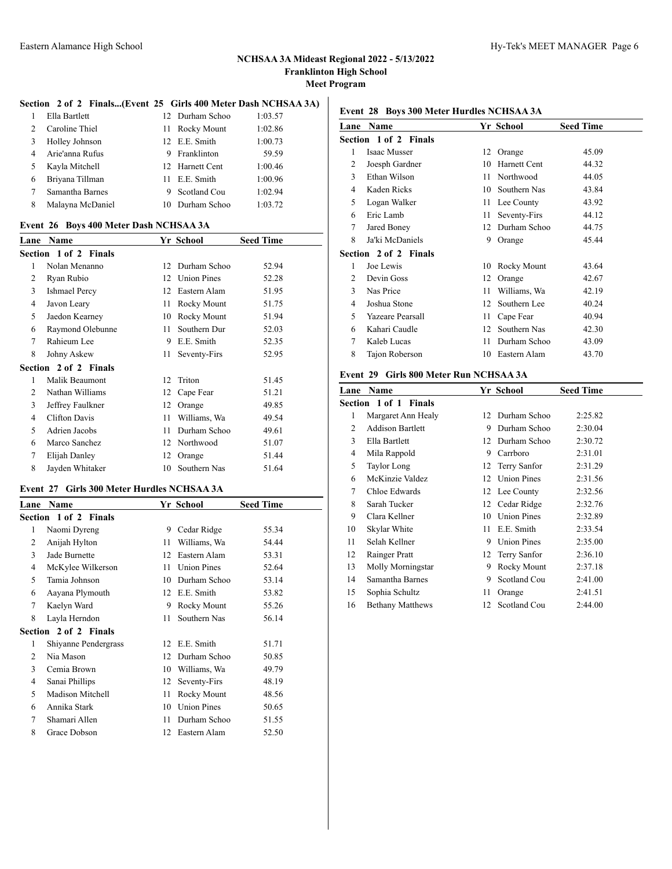#### **Section 2 of 2 Finals...(Event 25 Girls 400 Meter Dash NCHSAA 3A)**

| $\mathbf{1}$   | Ella Bartlett    | 12 Durham Schoo | 1:03.57 |
|----------------|------------------|-----------------|---------|
| $\mathfrak{D}$ | Caroline Thiel   | 11 Rocky Mount  | 1:02.86 |
| 3              | Holley Johnson   | 12 E.E. Smith   | 1:00.73 |
| $\overline{4}$ | Arie'anna Rufus  | 9 Franklinton   | 59.59   |
| 5              | Kayla Mitchell   | 12 Harnett Cent | 1:00.46 |
| 6              | Briyana Tillman  | 11 E.E. Smith   | 1:00.96 |
| 7              | Samantha Barnes  | 9 Scotland Cou  | 1:02.94 |
| 8              | Malayna McDaniel | 10 Durham Schoo | 1:03.72 |

#### **Event 26 Boys 400 Meter Dash NCHSAA 3A**

| Lane | <b>Name</b>                  |    | Yr School          | <b>Seed Time</b> |
|------|------------------------------|----|--------------------|------------------|
|      | <b>Section 1 of 2 Finals</b> |    |                    |                  |
| 1    | Nolan Menanno                | 12 | Durham Schoo       | 52.94            |
| 2    | Ryan Rubio                   | 12 | <b>Union Pines</b> | 52.28            |
| 3    | <b>Ishmael Percy</b>         | 12 | Eastern Alam       | 51.95            |
| 4    | Javon Leary                  | 11 | Rocky Mount        | 51.75            |
| 5    | Jaedon Kearney               | 10 | Rocky Mount        | 51.94            |
| 6    | Raymond Olebunne             | 11 | Southern Dur       | 52.03            |
| 7    | Rahieum Lee                  | 9  | E.E. Smith         | 52.35            |
| 8    | Johny Askew                  | 11 | Seventy-Firs       | 52.95            |
|      | <b>Section 2 of 2 Finals</b> |    |                    |                  |
| 1    | Malik Beaumont               | 12 | Triton             | 51.45            |
| 2    | Nathan Williams              | 12 | Cape Fear          | 51.21            |
| 3    | Jeffrey Faulkner             | 12 | Orange             | 49.85            |
| 4    | Clifton Davis                | 11 | Williams, Wa       | 49.54            |
| 5    | Adrien Jacobs                | 11 | Durham Schoo       | 49.61            |
| 6    | Marco Sanchez                | 12 | Northwood          | 51.07            |
| 7    | Elijah Danley                | 12 | Orange             | 51.44            |
| 8    | Jayden Whitaker              | 10 | Southern Nas       | 51.64            |

## **Event 27 Girls 300 Meter Hurdles NCHSAA 3A**

|   | Lane Name             |    | Yr School    | <b>Seed Time</b> |
|---|-----------------------|----|--------------|------------------|
|   | Section 1 of 2 Finals |    |              |                  |
| 1 | Naomi Dyreng          | 9  | Cedar Ridge  | 55.34            |
| 2 | Anijah Hylton         | 11 | Williams, Wa | 54.44            |
| 3 | Jade Burnette         | 12 | Eastern Alam | 53.31            |
| 4 | McKylee Wilkerson     | 11 | Union Pines  | 52.64            |
| 5 | Tamia Johnson         | 10 | Durham Schoo | 53.14            |
| 6 | Aayana Plymouth       | 12 | E.E. Smith   | 53.82            |
| 7 | Kaelyn Ward           | 9  | Rocky Mount  | 55.26            |
| 8 | Layla Herndon         | 11 | Southern Nas | 56.14            |
|   | Section 2 of 2 Finals |    |              |                  |
| 1 | Shiyanne Pendergrass  | 12 | E.E. Smith   | 51.71            |
| 2 | Nia Mason             | 12 | Durham Schoo | 50.85            |
| 3 | Cemia Brown           | 10 | Williams, Wa | 49.79            |
| 4 | Sanai Phillips        | 12 | Seventy-Firs | 48.19            |
| 5 | Madison Mitchell      | 11 | Rocky Mount  | 48.56            |
| 6 | Annika Stark          | 10 | Union Pines  | 50.65            |
| 7 | Shamari Allen         | 11 | Durham Schoo | 51.55            |
| 8 | Grace Dobson          | 12 | Eastern Alam | 52.50            |
|   |                       |    |              |                  |

## **Event 28 Boys 300 Meter Hurdles NCHSAA 3A**

| Lane | Name                         |    | Yr School    | <b>Seed Time</b> |
|------|------------------------------|----|--------------|------------------|
|      | <b>Section 1 of 2 Finals</b> |    |              |                  |
| 1    | <b>Isaac Musser</b>          | 12 | Orange       | 45.09            |
| 2    | Joesph Gardner               | 10 | Harnett Cent | 44.32            |
| 3    | Ethan Wilson                 | 11 | Northwood    | 44.05            |
| 4    | Kaden Ricks                  | 10 | Southern Nas | 43.84            |
| 5    | Logan Walker                 | 11 | Lee County   | 43.92            |
| 6    | Eric Lamb                    | 11 | Seventy-Firs | 44.12            |
| 7    | Jared Boney                  | 12 | Durham Schoo | 44.75            |
| 8    | Ja'ki McDaniels              | 9  | Orange       | 45.44            |
|      | <b>Section 2 of 2 Finals</b> |    |              |                  |
| 1    | Joe Lewis                    | 10 | Rocky Mount  | 43.64            |
| 2    | Devin Goss                   | 12 | Orange       | 42.67            |
| 3    | Nas Price                    | 11 | Williams, Wa | 42.19            |
| 4    | Joshua Stone                 | 12 | Southern Lee | 40.24            |
| 5    | Yazeare Pearsall             | 11 | Cape Fear    | 40.94            |
| 6    | Kahari Caudle                | 12 | Southern Nas | 42.30            |
| 7    | Kaleb Lucas                  | 11 | Durham Schoo | 43.09            |
| 8    | Tajon Roberson               | 10 | Eastern Alam | 43.70            |
|      |                              |    |              |                  |

# **Event 29 Girls 800 Meter Run NCHSAA 3A**

| Lane | Name                         |     | Yr School          | <b>Seed Time</b> |
|------|------------------------------|-----|--------------------|------------------|
|      | <b>Section 1 of 1 Finals</b> |     |                    |                  |
| 1    | Margaret Ann Healy           | 12  | Durham Schoo       | 2:25.82          |
| 2    | <b>Addison Bartlett</b>      | 9   | Durham Schoo       | 2:30.04          |
| 3    | Ella Bartlett                | 12  | Durham Schoo       | 2:30.72          |
| 4    | Mila Rappold                 | 9   | Carrboro           | 2:31.01          |
| 5    | Taylor Long                  | 12  | Terry Sanfor       | 2:31.29          |
| 6    | McKinzie Valdez              | 12  | <b>Union Pines</b> | 2:31.56          |
| 7    | Chloe Edwards                |     | 12 Lee County      | 2:32.56          |
| 8    | Sarah Tucker                 |     | 12 Cedar Ridge     | 2:32.76          |
| 9    | Clara Kellner                | 10  | <b>Union Pines</b> | 2:32.89          |
| 10   | Skylar White                 | 11. | E.E. Smith         | 2:33.54          |
| 11   | Selah Kellner                | 9   | <b>Union Pines</b> | 2:35.00          |
| 12   | Rainger Pratt                |     | 12 Terry Sanfor    | 2:36.10          |
| 13   | Molly Morningstar            | 9   | Rocky Mount        | 2:37.18          |
| 14   | Samantha Barnes              | 9   | Scotland Cou       | 2:41.00          |
| 15   | Sophia Schultz               | 11  | Orange             | 2:41.51          |
| 16   | <b>Bethany Matthews</b>      | 12  | Scotland Cou       | 2:44.00          |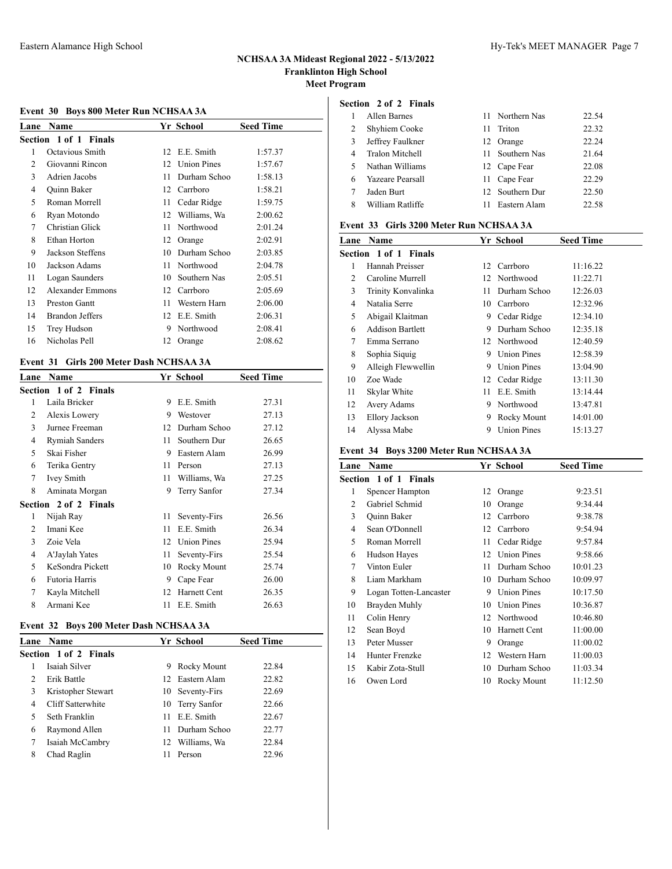## **Event 30 Boys 800 Meter Run NCHSAA 3A**

| Lane | <b>Name</b>             |    | Yr School          | <b>Seed Time</b> |  |
|------|-------------------------|----|--------------------|------------------|--|
|      | Section 1 of 1 Finals   |    |                    |                  |  |
| 1    | Octavious Smith         | 12 | E.E. Smith         | 1:57.37          |  |
| 2    | Giovanni Rincon         | 12 | <b>Union Pines</b> | 1:57.67          |  |
| 3    | Adrien Jacobs           | 11 | Durham Schoo       | 1:58.13          |  |
| 4    | Quinn Baker             | 12 | Carrboro           | 1:58.21          |  |
| 5    | Roman Morrell           | 11 | Cedar Ridge        | 1:59.75          |  |
| 6    | Ryan Motondo            | 12 | Williams, Wa       | 2:00.62          |  |
| 7    | Christian Glick         | 11 | Northwood          | 2:01.24          |  |
| 8    | Ethan Horton            | 12 | Orange             | 2:02.91          |  |
| 9    | Jackson Steffens        | 10 | Durham Schoo       | 2:03.85          |  |
| 10   | Jackson Adams           | 11 | Northwood          | 2:04.78          |  |
| 11   | Logan Saunders          | 10 | Southern Nas       | 2:05.51          |  |
| 12   | <b>Alexander Emmons</b> | 12 | Carrboro           | 2:05.69          |  |
| 13   | <b>Preston Gantt</b>    | 11 | Western Harn       | 2:06.00          |  |
| 14   | <b>Brandon Jeffers</b>  | 12 | E.E. Smith         | 2:06.31          |  |
| 15   | Trey Hudson             | 9  | Northwood          | 2:08.41          |  |
| 16   | Nicholas Pell           | 12 | Orange             | 2:08.62          |  |

#### **Event 31 Girls 200 Meter Dash NCHSAA 3A**

| Lane | <b>Name</b>                  |    | Yr School    | <b>Seed Time</b> |
|------|------------------------------|----|--------------|------------------|
|      | Section 1 of 2 Finals        |    |              |                  |
| 1    | Laila Bricker                | 9  | E.E. Smith   | 27.31            |
| 2    | Alexis Lowery                | 9  | Westover     | 27.13            |
| 3    | Jurnee Freeman               | 12 | Durham Schoo | 27.12            |
| 4    | Rymiah Sanders               | 11 | Southern Dur | 26.65            |
| 5    | Skai Fisher                  | 9  | Eastern Alam | 26.99            |
| 6    | Terika Gentry                | 11 | Person       | 27.13            |
| 7    | Ivey Smith                   | 11 | Williams, Wa | 27.25            |
| 8    | Aminata Morgan               | 9  | Terry Sanfor | 27.34            |
|      | <b>Section 2 of 2 Finals</b> |    |              |                  |
| 1    | Nijah Ray                    | 11 | Seventy-Firs | 26.56            |
| 2    | Imani Kee                    | 11 | E.E. Smith   | 26.34            |
| 3    | Zoie Vela                    | 12 | Union Pines  | 25.94            |
| 4    | A'Jaylah Yates               | 11 | Seventy-Firs | 25.54            |
| 5    | KeSondra Pickett             | 10 | Rocky Mount  | 25.74            |
| 6    | Futoria Harris               | 9  | Cape Fear    | 26.00            |
| 7    | Kayla Mitchell               | 12 | Harnett Cent | 26.35            |
| 8    | Armani Kee                   | 11 | E.E. Smith   | 26.63            |

#### **Event 32 Boys 200 Meter Dash NCHSAA 3A**

|               | <b>Lane Name</b>             |    | Yr School       | <b>Seed Time</b> |
|---------------|------------------------------|----|-----------------|------------------|
|               | <b>Section 1 of 2 Finals</b> |    |                 |                  |
|               | Isaiah Silver                | 9  | Rocky Mount     | 22.84            |
| $\mathcal{P}$ | Erik Battle                  |    | 12 Eastern Alam | 22.82            |
| 3             | Kristopher Stewart           |    | 10 Seventy-Firs | 22.69            |
| 4             | Cliff Satterwhite            |    | 10 Terry Sanfor | 22.66            |
|               | Seth Franklin                | 11 | E.E. Smith      | 22.67            |
| 6             | Raymond Allen                | 11 | Durham Schoo    | 22.77            |
| 7             | Isaiah McCambry              |    | 12 Williams, Wa | 22.84            |
| 8             | Chad Raglin                  |    | Person          | 22.96            |
|               |                              |    |                 |                  |

## **Section 2 of 2 Finals**

|    | Allen Barnes            |               | 11 Northern Nas | 22.54 |
|----|-------------------------|---------------|-----------------|-------|
| 2  | Shyhiem Cooke           | 11            | Triton          | 22.32 |
| 3  | Jeffrey Faulkner        |               | 12 Orange       | 22.24 |
|    | Tralon Mitchell         |               | 11 Southern Nas | 21.64 |
| 5. | Nathan Williams         |               | 12 Cape Fear    | 22.08 |
| 6  | <b>Yazeare Pearsall</b> | $\mathbf{11}$ | Cape Fear       | 22.29 |
|    | Jaden Burt              |               | 12 Southern Dur | 22.50 |
| 8  | William Ratliffe        |               | Eastern Alam    | 22.58 |

#### **Event 33 Girls 3200 Meter Run NCHSAA 3A**

| Lane | Name                    |    | Yr School          | <b>Seed Time</b> |
|------|-------------------------|----|--------------------|------------------|
|      | Section 1 of 1 Finals   |    |                    |                  |
| 1    | Hannah Preisser         |    | 12 Carrboro        | 11:16.22         |
| 2    | Caroline Murrell        |    | 12 Northwood       | 11:22.71         |
| 3    | Trinity Konvalinka      | 11 | Durham Schoo       | 12:26.03         |
| 4    | Natalia Serre           | 10 | Carrboro           | 12:32.96         |
| 5    | Abigail Klaitman        | 9  | Cedar Ridge        | 12:34.10         |
| 6    | <b>Addison Bartlett</b> | 9  | Durham Schoo       | 12:35.18         |
| 7    | Emma Serrano            |    | 12 Northwood       | 12:40.59         |
| 8    | Sophia Siquig           | 9  | <b>Union Pines</b> | 12:58.39         |
| 9    | Alleigh Flewwellin      | 9  | <b>Union Pines</b> | 13:04.90         |
| 10   | Zoe Wade                |    | 12 Cedar Ridge     | 13:11.30         |
| 11   | Skylar White            | 11 | E.E. Smith         | 13:14.44         |
| 12   | Avery Adams             | 9  | Northwood          | 13:47.81         |
| 13   | Ellory Jackson          | 9  | Rocky Mount        | 14:01.00         |
| 14   | Alyssa Mabe             | 9  | <b>Union Pines</b> | 15:13.27         |

#### **Event 34 Boys 3200 Meter Run NCHSAA 3A**

| Lane | <b>Name</b>                  |    | Yr School          | <b>Seed Time</b> |  |
|------|------------------------------|----|--------------------|------------------|--|
|      | <b>Section 1 of 1 Finals</b> |    |                    |                  |  |
| 1    | <b>Spencer Hampton</b>       | 12 | Orange             | 9:23.51          |  |
| 2    | Gabriel Schmid               | 10 | Orange             | 9:34.44          |  |
| 3    | Quinn Baker                  | 12 | Carrboro           | 9:38.78          |  |
| 4    | Sean O'Donnell               | 12 | Carrboro           | 9:54.94          |  |
| 5    | Roman Morrell                | 11 | Cedar Ridge        | 9:57.84          |  |
| 6    | Hudson Hayes                 | 12 | <b>Union Pines</b> | 9:58.66          |  |
| 7    | Vinton Euler                 | 11 | Durham Schoo       | 10:01.23         |  |
| 8    | Liam Markham                 | 10 | Durham Schoo       | 10:09.97         |  |
| 9    | Logan Totten-Lancaster       | 9  | <b>Union Pines</b> | 10:17.50         |  |
| 10   | Brayden Muhly                | 10 | <b>Union Pines</b> | 10:36.87         |  |
| 11   | Colin Henry                  | 12 | Northwood          | 10:46.80         |  |
| 12   | Sean Boyd                    | 10 | Harnett Cent       | 11:00.00         |  |
| 13   | Peter Musser                 | 9  | Orange             | 11:00.02         |  |
| 14   | Hunter Frenzke               | 12 | Western Harn       | 11:00.03         |  |
| 15   | Kabir Zota-Stull             | 10 | Durham Schoo       | 11:03.34         |  |
| 16   | Owen Lord                    | 10 | Rocky Mount        | 11:12.50         |  |